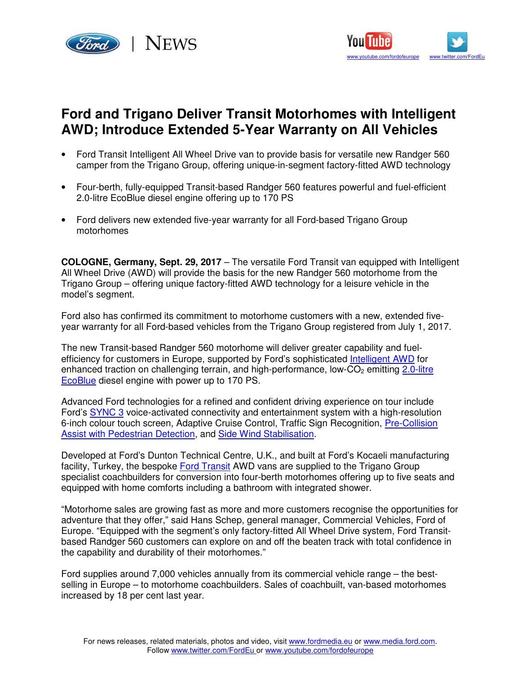



## **Ford and Trigano Deliver Transit Motorhomes with Intelligent AWD; Introduce Extended 5-Year Warranty on All Vehicles**

- Ford Transit Intelligent All Wheel Drive van to provide basis for versatile new Randger 560 camper from the Trigano Group, offering unique-in-segment factory-fitted AWD technology
- Four-berth, fully-equipped Transit-based Randger 560 features powerful and fuel-efficient 2.0-litre EcoBlue diesel engine offering up to 170 PS
- Ford delivers new extended five-year warranty for all Ford-based Trigano Group motorhomes

**COLOGNE, Germany, Sept. 29, 2017** – The versatile Ford Transit van equipped with Intelligent All Wheel Drive (AWD) will provide the basis for the new Randger 560 motorhome from the Trigano Group – offering unique factory-fitted AWD technology for a leisure vehicle in the model's segment.

Ford also has confirmed its commitment to motorhome customers with a new, extended fiveyear warranty for all Ford-based vehicles from the Trigano Group registered from July 1, 2017.

The new Transit-based Randger 560 motorhome will deliver greater capability and fuelefficiency for customers in Europe, supported by Ford's sophisticated Intelligent AWD for enhanced traction on challenging terrain, and high-performance, low- $CO<sub>2</sub>$  emitting 2.0-litre EcoBlue diesel engine with power up to 170 PS.

Advanced Ford technologies for a refined and confident driving experience on tour include Ford's SYNC 3 voice-activated connectivity and entertainment system with a high-resolution 6-inch colour touch screen, Adaptive Cruise Control, Traffic Sign Recognition, Pre-Collision Assist with Pedestrian Detection, and Side Wind Stabilisation.

Developed at Ford's Dunton Technical Centre, U.K., and built at Ford's Kocaeli manufacturing facility, Turkey, the bespoke Ford Transit AWD vans are supplied to the Trigano Group specialist coachbuilders for conversion into four-berth motorhomes offering up to five seats and equipped with home comforts including a bathroom with integrated shower.

"Motorhome sales are growing fast as more and more customers recognise the opportunities for adventure that they offer," said Hans Schep, general manager, Commercial Vehicles, Ford of Europe. "Equipped with the segment's only factory-fitted All Wheel Drive system, Ford Transitbased Randger 560 customers can explore on and off the beaten track with total confidence in the capability and durability of their motorhomes."

Ford supplies around 7,000 vehicles annually from its commercial vehicle range – the bestselling in Europe – to motorhome coachbuilders. Sales of coachbuilt, van-based motorhomes increased by 18 per cent last year.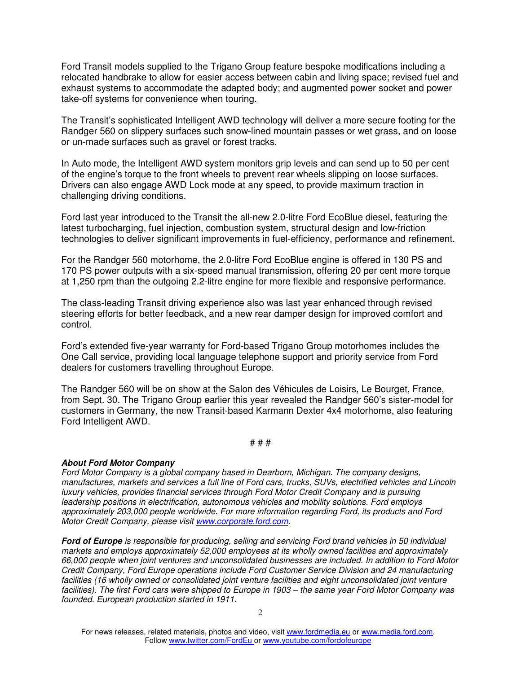Ford Transit models supplied to the Trigano Group feature bespoke modifications including a relocated handbrake to allow for easier access between cabin and living space; revised fuel and exhaust systems to accommodate the adapted body; and augmented power socket and power take-off systems for convenience when touring.

The Transit's sophisticated Intelligent AWD technology will deliver a more secure footing for the Randger 560 on slippery surfaces such snow-lined mountain passes or wet grass, and on loose or un-made surfaces such as gravel or forest tracks.

In Auto mode, the Intelligent AWD system monitors grip levels and can send up to 50 per cent of the engine's torque to the front wheels to prevent rear wheels slipping on loose surfaces. Drivers can also engage AWD Lock mode at any speed, to provide maximum traction in challenging driving conditions.

Ford last year introduced to the Transit the all-new 2.0-litre Ford EcoBlue diesel, featuring the latest turbocharging, fuel injection, combustion system, structural design and low-friction technologies to deliver significant improvements in fuel-efficiency, performance and refinement.

For the Randger 560 motorhome, the 2.0-litre Ford EcoBlue engine is offered in 130 PS and 170 PS power outputs with a six-speed manual transmission, offering 20 per cent more torque at 1,250 rpm than the outgoing 2.2-litre engine for more flexible and responsive performance.

The class-leading Transit driving experience also was last year enhanced through revised steering efforts for better feedback, and a new rear damper design for improved comfort and control.

Ford's extended five-year warranty for Ford-based Trigano Group motorhomes includes the One Call service, providing local language telephone support and priority service from Ford dealers for customers travelling throughout Europe.

The Randger 560 will be on show at the Salon des Véhicules de Loisirs, Le Bourget, France, from Sept. 30. The Trigano Group earlier this year revealed the Randger 560's sister-model for customers in Germany, the new Transit-based Karmann Dexter 4x4 motorhome, also featuring Ford Intelligent AWD.

## # # #

## **About Ford Motor Company**

Ford Motor Company is a global company based in Dearborn, Michigan. The company designs, manufactures, markets and services a full line of Ford cars, trucks, SUVs, electrified vehicles and Lincoln luxury vehicles, provides financial services through Ford Motor Credit Company and is pursuing leadership positions in electrification, autonomous vehicles and mobility solutions. Ford employs approximately 203,000 people worldwide. For more information regarding Ford, its products and Ford Motor Credit Company, please visit www.corporate.ford.com.

**Ford of Europe** is responsible for producing, selling and servicing Ford brand vehicles in 50 individual markets and employs approximately 52,000 employees at its wholly owned facilities and approximately 66,000 people when joint ventures and unconsolidated businesses are included. In addition to Ford Motor Credit Company, Ford Europe operations include Ford Customer Service Division and 24 manufacturing facilities (16 wholly owned or consolidated joint venture facilities and eight unconsolidated joint venture facilities). The first Ford cars were shipped to Europe in 1903 – the same year Ford Motor Company was founded. European production started in 1911.